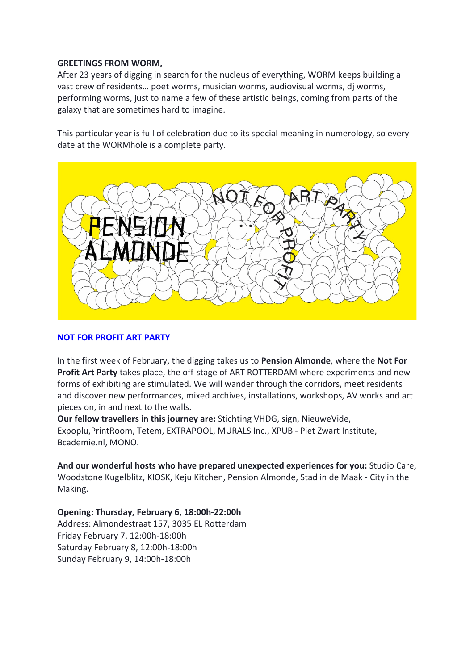# **GREETINGS FROM WORM,**

After 23 years of digging in search for the nucleus of everything, WORM keeps building a vast crew of residents… poet worms, musician worms, audiovisual worms, dj worms, performing worms, just to name a few of these artistic beings, coming from parts of the galaxy that are sometimes hard to imagine.

This particular year is full of celebration due to its special meaning in numerology, so every date at the WORMhole is a complete party.



# **[NOT FOR PROFIT ART PARTY](https://worm.org/production/opening-not-for-profit-art-party-pension-almonde-edition/)**

In the first week of February, the digging takes us to **Pension Almonde**, where the **Not For Profit Art Party** takes place, the off-stage of ART ROTTERDAM where experiments and new forms of exhibiting are stimulated. We will wander through the corridors, meet residents and discover new performances, mixed archives, installations, workshops, AV works and art pieces on, in and next to the walls.

**Our fellow travellers in this journey are:** Stichting VHDG, sign, NieuweVide, Expoplu,PrintRoom, Tetem, EXTRAPOOL, MURALS Inc., XPUB - Piet Zwart Institute, Bcademie.nl, MONO.

**And our wonderful hosts who have prepared unexpected experiences for you:** Studio Care, Woodstone Kugelblitz, KIOSK, Keju Kitchen, Pension Almonde, Stad in de Maak - City in the Making.

**Opening: Thursday, February 6, 18:00h-22:00h** Address: Almondestraat 157, 3035 EL Rotterdam Friday February 7, 12:00h-18:00h Saturday February 8, 12:00h-18:00h Sunday February 9, 14:00h-18:00h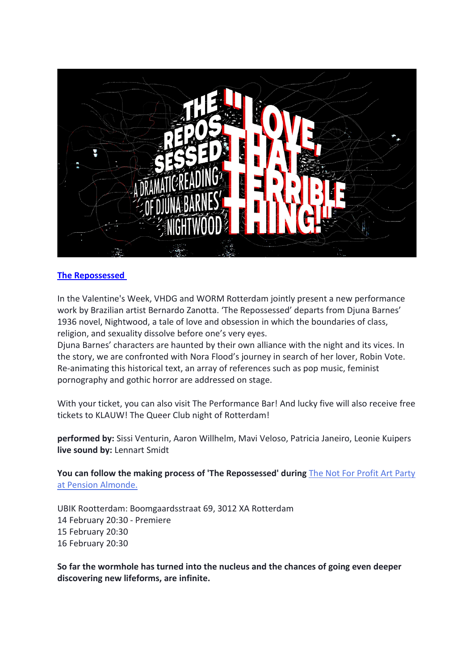

# **[The Repossessed](https://worm.org/production/the-repossessed-by-bernardo-zanotta/)**

In the Valentine's Week, [VHDG](http://www.vhdg.nl/) and WORM Rotterdam jointly present a new performance work by Brazilian artist Bernardo Zanotta. 'The Repossessed' departs from Djuna Barnes' 1936 novel, Nightwood, a tale of love and obsession in which the boundaries of class, religion, and sexuality dissolve before one's very eyes.

Djuna Barnes' characters are haunted by their own alliance with the night and its vices. In the story, we are confronted with Nora Flood's journey in search of her lover, Robin Vote. Re-animating this historical text, an array of references such as pop music, feminist pornography and gothic horror are addressed on stage.

With your ticket, you can also visit The Performance Bar! And lucky five will also receive free tickets to KLAUW! The Queer Club night of Rotterdam!

**performed by:** Sissi Venturin, Aaron Willhelm, Mavi Veloso, Patricia Janeiro, Leonie Kuipers **live sound by:** Lennart Smidt

**You can follow the making process of 'The Repossessed' during** [The Not For Profit Art Party](https://worm.org/production/opening-not-for-profit-art-party-pension-almonde-edition/)  [at Pension Almonde.](https://worm.org/production/opening-not-for-profit-art-party-pension-almonde-edition/)

UBIK Rootterdam: Boomgaardsstraat 69, 3012 XA Rotterdam 14 February 20:30 - Premiere 15 February 20:30 16 February 20:30

**So far the wormhole has turned into the nucleus and the chances of going even deeper discovering new lifeforms, are infinite.**